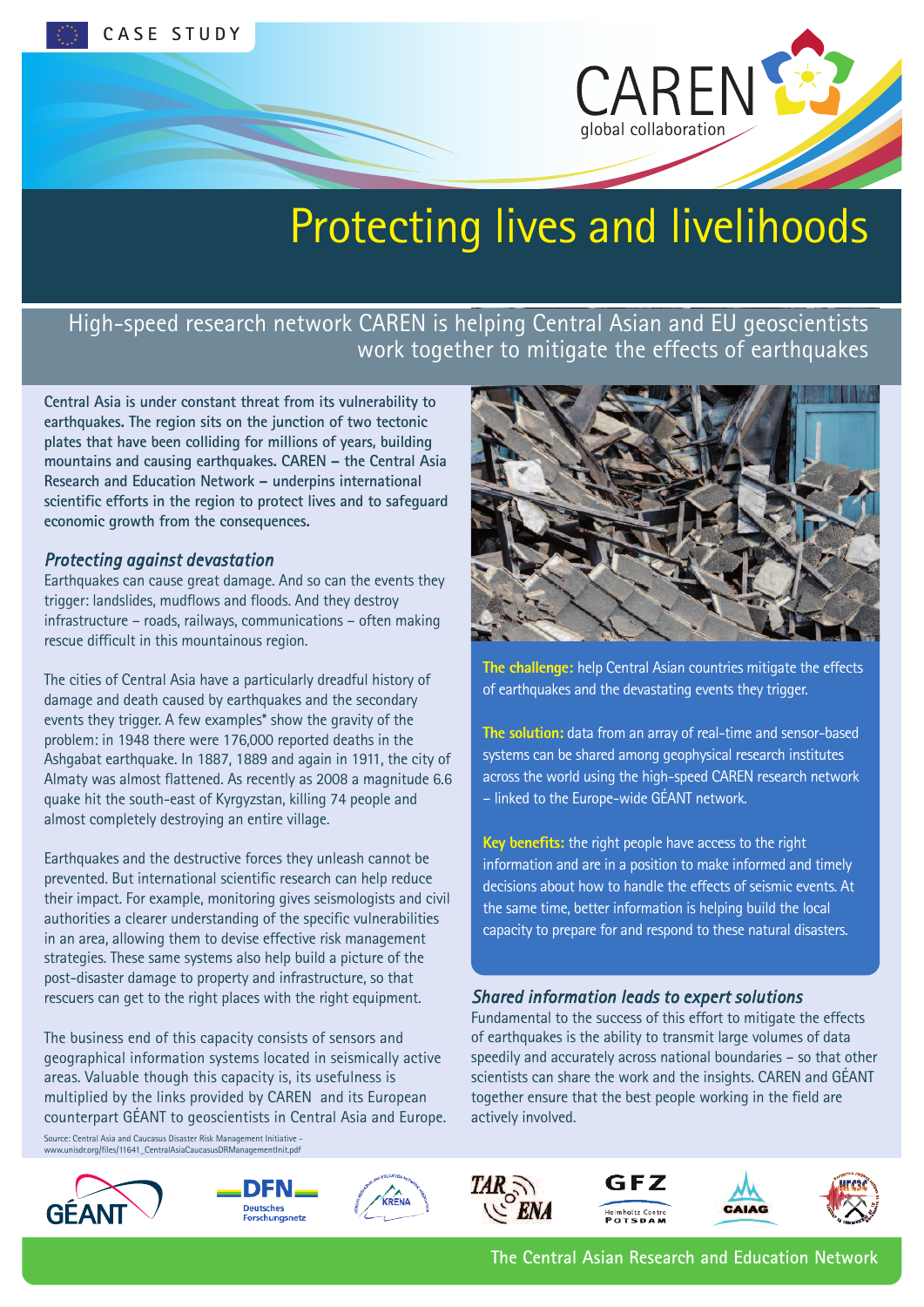

# Protecting lives and livelihoods

# High-speed research network CAREN is helping Central Asian and EU geoscientists work together to mitigate the effects of earthquakes

**Central Asia is under constant threat from its vulnerability to earthquakes. The region sits on the junction of two tectonic plates that have been colliding for millions of years, building mountains and causing earthquakes. CAREN – the Central Asia Research and Education Network – underpins international scientific efforts in the region to protect lives and to safeguard economic growth from the consequences.**

### *Protecting against devastation*

Earthquakes can cause great damage. And so can the events they trigger: landslides, mudflows and floods. And they destroy infrastructure – roads, railways, communications – often making rescue difficult in this mountainous region.

The cities of Central Asia have a particularly dreadful history of damage and death caused by earthquakes and the secondary events they trigger. A few examples\* show the gravity of the problem: in 1948 there were 176,000 reported deaths in the Ashgabat earthquake. In 1887, 1889 and again in 1911, the city of Almaty was almost flattened. As recently as 2008 a magnitude 6.6 quake hit the south-east of Kyrgyzstan, killing 74 people and almost completely destroying an entire village.

Earthquakes and the destructive forces they unleash cannot be prevented. But international scientific research can help reduce their impact. For example, monitoring gives seismologists and civil authorities a clearer understanding of the specific vulnerabilities in an area, allowing them to devise effective risk management strategies. These same systems also help build a picture of the post-disaster damage to property and infrastructure, so that rescuers can get to the right places with the right equipment.

The business end of this capacity consists of sensors and geographical information systems located in seismically active areas. Valuable though this capacity is, its usefulness is multiplied by the links provided by CAREN and its European counterpart GÉANT to geoscientists in Central Asia and Europe. Source: Central Asia and Caucasus Disaster Risk Management Initiative -











**The challenge:** help Central Asian countries mitigate the effects of earthquakes and the devastating events they trigger.

**The solution:** data from an array of real-time and sensor-based systems can be shared among geophysical research institutes across the world using the high-speed CAREN research network – linked to the Europe-wide GÉANT network.

**Key benefits:** the right people have access to the right information and are in a position to make informed and timely decisions about how to handle the effects of seismic events. At the same time, better information is helping build the local capacity to prepare for and respond to these natural disasters.

## *Shared information leads to expert solutions*

Fundamental to the success of this effort to mitigate the effects of earthquakes is the ability to transmit large volumes of data speedily and accurately across national boundaries – so that other scientists can share the work and the insights. CAREN and GÉANT together ensure that the best people working in the field are actively involved.







**The Central Asian Research and Education Network**